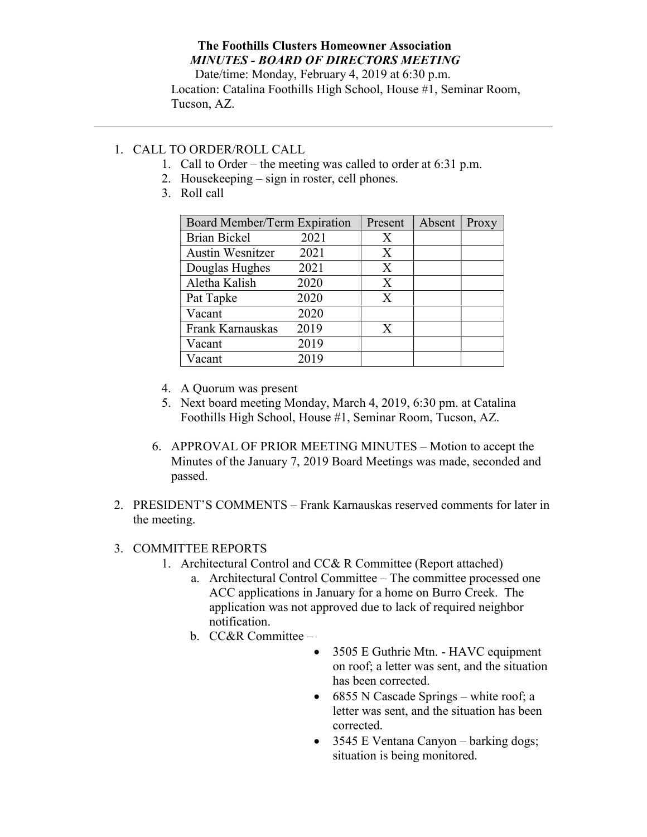## The Foothills Clusters Homeowner Association MINUTES - BOARD OF DIRECTORS MEETING

Date/time: Monday, February 4, 2019 at 6:30 p.m. Location: Catalina Foothills High School, House #1, Seminar Room, Tucson, AZ.

## 1. CALL TO ORDER/ROLL CALL

- 1. Call to Order the meeting was called to order at 6:31 p.m.
- 2. Housekeeping sign in roster, cell phones.
- 3. Roll call

| Board Member/Term Expiration |      | Present | Absent | Proxy |
|------------------------------|------|---------|--------|-------|
| <b>Brian Bickel</b>          | 2021 | Χ       |        |       |
| <b>Austin Wesnitzer</b>      | 2021 | X       |        |       |
| Douglas Hughes               | 2021 | X       |        |       |
| Aletha Kalish                | 2020 | X       |        |       |
| Pat Tapke                    | 2020 | X       |        |       |
| Vacant                       | 2020 |         |        |       |
| Frank Karnauskas             | 2019 | X       |        |       |
| Vacant                       | 2019 |         |        |       |
| Vacant                       | 2019 |         |        |       |

- 4. A Quorum was present
- 5. Next board meeting Monday, March 4, 2019, 6:30 pm. at Catalina Foothills High School, House #1, Seminar Room, Tucson, AZ.
- 6. APPROVAL OF PRIOR MEETING MINUTES Motion to accept the Minutes of the January 7, 2019 Board Meetings was made, seconded and passed.
- 2. PRESIDENT'S COMMENTS Frank Karnauskas reserved comments for later in the meeting.

## 3. COMMITTEE REPORTS

- 1. Architectural Control and CC& R Committee (Report attached)
	- a. Architectural Control Committee The committee processed one ACC applications in January for a home on Burro Creek. The application was not approved due to lack of required neighbor notification.
	- b. CC&R Committee
		- 3505 E Guthrie Mtn. HAVC equipment on roof; a letter was sent, and the situation has been corrected.
		- 6855 N Cascade Springs white roof; a letter was sent, and the situation has been corrected.
		- 3545 E Ventana Canyon barking dogs; situation is being monitored.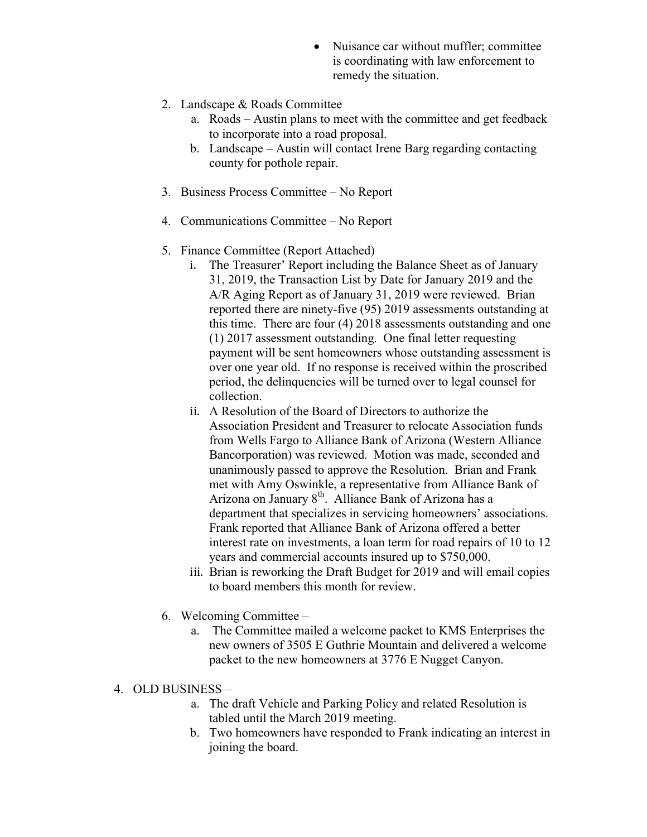- Nuisance car without muffler; committee is coordinating with law enforcement to remedy the situation.
- 2. Landscape & Roads Committee
	- a. Roads Austin plans to meet with the committee and get feedback to incorporate into a road proposal.
	- b. Landscape Austin will contact Irene Barg regarding contacting county for pothole repair.
- 3. Business Process Committee No Report
- 4. Communications Committee No Report
- 5. Finance Committee (Report Attached)
	- i. The Treasurer' Report including the Balance Sheet as of January 31, 2019, the Transaction List by Date for January 2019 and the A/R Aging Report as of January 31, 2019 were reviewed. Brian reported there are ninety-five (95) 2019 assessments outstanding at this time. There are four (4) 2018 assessments outstanding and one (1) 2017 assessment outstanding. One final letter requesting payment will be sent homeowners whose outstanding assessment is over one year old. If no response is received within the proscribed period, the delinquencies will be turned over to legal counsel for collection.
	- ii. A Resolution of the Board of Directors to authorize the Association President and Treasurer to relocate Association funds from Wells Fargo to Alliance Bank of Arizona (Western Alliance Bancorporation) was reviewed. Motion was made, seconded and unanimously passed to approve the Resolution. Brian and Frank met with Amy Oswinkle, a representative from Alliance Bank of Arizona on January 8<sup>th</sup>. Alliance Bank of Arizona has a department that specializes in servicing homeowners' associations. Frank reported that Alliance Bank of Arizona offered a better interest rate on investments, a loan term for road repairs of 10 to 12 years and commercial accounts insured up to \$750,000.
	- iii. Brian is reworking the Draft Budget for 2019 and will email copies to board members this month for review.
- 6. Welcoming Committee
	- a. The Committee mailed a welcome packet to KMS Enterprises the new owners of 3505 E Guthrie Mountain and delivered a welcome packet to the new homeowners at 3776 E Nugget Canyon.
- 4. OLD BUSINESS
	- a. The draft Vehicle and Parking Policy and related Resolution is tabled until the March 2019 meeting.
	- b. Two homeowners have responded to Frank indicating an interest in joining the board.